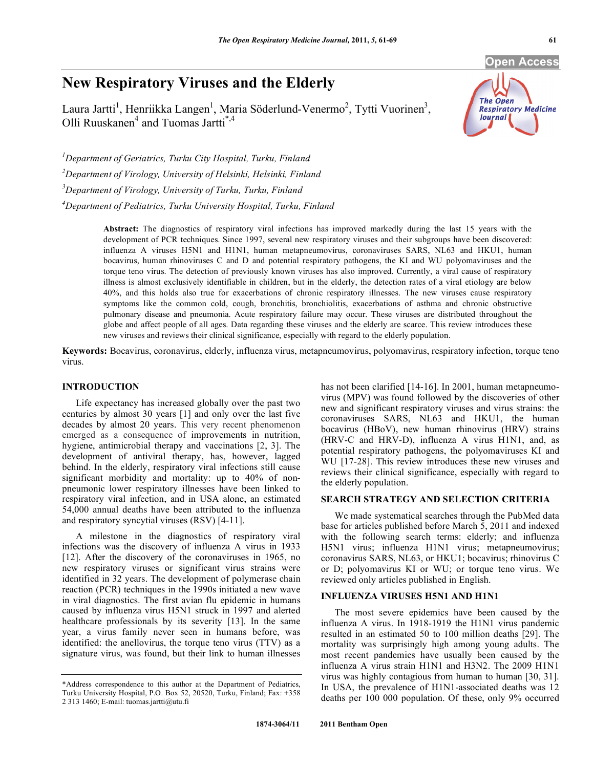**Open Access** 

# **New Respiratory Viruses and the Elderly**

Laura Jartti<sup>1</sup>, Henriikka Langen<sup>1</sup>, Maria Söderlund-Venermo<sup>2</sup>, Tytti Vuorinen<sup>3</sup>, Olli Ruuskanen<sup>4</sup> and Tuomas Jartti<sup>\*,4</sup>

The Open **Respiratory Medicine Journal** 

*1 Department of Geriatrics, Turku City Hospital, Turku, Finland 2 Department of Virology, University of Helsinki, Helsinki, Finland 3 Department of Virology, University of Turku, Turku, Finland* 

*4 Department of Pediatrics, Turku University Hospital, Turku, Finland*

**Abstract:** The diagnostics of respiratory viral infections has improved markedly during the last 15 years with the development of PCR techniques. Since 1997, several new respiratory viruses and their subgroups have been discovered: influenza A viruses H5N1 and H1N1, human metapneumovirus, coronaviruses SARS, NL63 and HKU1, human bocavirus, human rhinoviruses C and D and potential respiratory pathogens, the KI and WU polyomaviruses and the torque teno virus. The detection of previously known viruses has also improved. Currently, a viral cause of respiratory illness is almost exclusively identifiable in children, but in the elderly, the detection rates of a viral etiology are below 40%, and this holds also true for exacerbations of chronic respiratory illnesses. The new viruses cause respiratory symptoms like the common cold, cough, bronchitis, bronchiolitis, exacerbations of asthma and chronic obstructive pulmonary disease and pneumonia. Acute respiratory failure may occur. These viruses are distributed throughout the globe and affect people of all ages. Data regarding these viruses and the elderly are scarce. This review introduces these new viruses and reviews their clinical significance, especially with regard to the elderly population.

**Keywords:** Bocavirus, coronavirus, elderly, influenza virus, metapneumovirus, polyomavirus, respiratory infection, torque teno virus.

#### **INTRODUCTION**

 Life expectancy has increased globally over the past two centuries by almost 30 years [1] and only over the last five decades by almost 20 years. This very recent phenomenon emerged as a consequence of improvements in nutrition, hygiene, antimicrobial therapy and vaccinations [2, 3]. The development of antiviral therapy, has, however, lagged behind. In the elderly, respiratory viral infections still cause significant morbidity and mortality: up to 40% of nonpneumonic lower respiratory illnesses have been linked to respiratory viral infection, and in USA alone, an estimated 54,000 annual deaths have been attributed to the influenza and respiratory syncytial viruses (RSV) [4-11].

 A milestone in the diagnostics of respiratory viral infections was the discovery of influenza A virus in 1933 [12]. After the discovery of the coronaviruses in 1965, no new respiratory viruses or significant virus strains were identified in 32 years. The development of polymerase chain reaction (PCR) techniques in the 1990s initiated a new wave in viral diagnostics. The first avian flu epidemic in humans caused by influenza virus H5N1 struck in 1997 and alerted healthcare professionals by its severity [13]. In the same year, a virus family never seen in humans before, was identified: the anellovirus, the torque teno virus (TTV) as a signature virus, was found, but their link to human illnesses

has not been clarified [14-16]. In 2001, human metapneumovirus (MPV) was found followed by the discoveries of other new and significant respiratory viruses and virus strains: the coronaviruses SARS, NL63 and HKU1, the human bocavirus (HBoV), new human rhinovirus (HRV) strains (HRV-C and HRV-D), influenza A virus H1N1, and, as potential respiratory pathogens, the polyomaviruses KI and WU [17-28]. This review introduces these new viruses and reviews their clinical significance, especially with regard to the elderly population.

# **SEARCH STRATEGY AND SELECTION CRITERIA**

 We made systematical searches through the PubMed data base for articles published before March 5, 2011 and indexed with the following search terms: elderly; and influenza H5N1 virus; influenza H1N1 virus; metapneumovirus; coronavirus SARS, NL63, or HKU1; bocavirus; rhinovirus C or D; polyomavirus KI or WU; or torque teno virus. We reviewed only articles published in English.

### **INFLUENZA VIRUSES H5N1 AND H1N1**

 The most severe epidemics have been caused by the influenza A virus. In 1918-1919 the H1N1 virus pandemic resulted in an estimated 50 to 100 million deaths [29]. The mortality was surprisingly high among young adults. The most recent pandemics have usually been caused by the influenza A virus strain H1N1 and H3N2. The 2009 H1N1 virus was highly contagious from human to human [30, 31]. In USA, the prevalence of H1N1-associated deaths was 12 deaths per 100 000 population. Of these, only 9% occurred

<sup>\*</sup>Address correspondence to this author at the Department of Pediatrics, Turku University Hospital, P.O. Box 52, 20520, Turku, Finland; Fax: +358 2 313 1460; E-mail: tuomas.jartti@utu.fi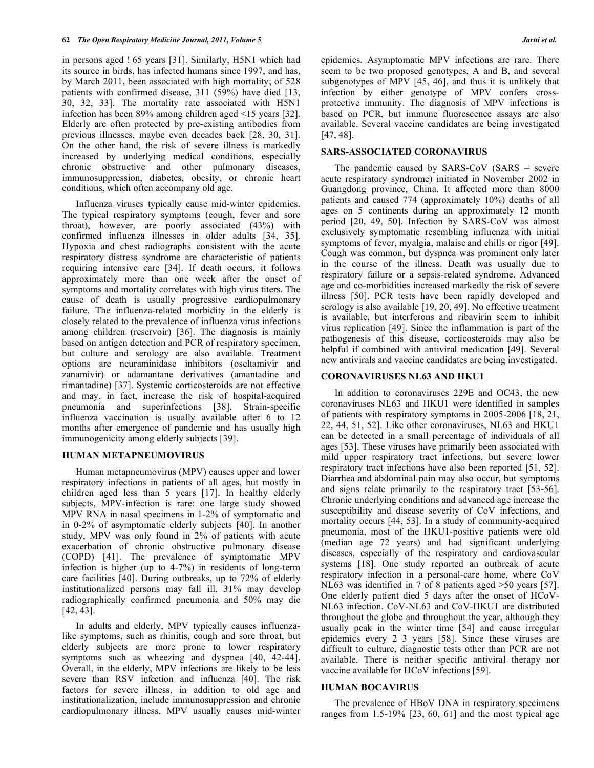in persons aged ! 65 years [31]. Similarly, H5N1 which had its source in birds, has infected humans since 1997, and has, by March 2011, been associated with high mortality; of 528 patients with confirmed disease, 311 (59%) have died [13, 30, 32, 33]. The mortality rate associated with H5N1 infection has been 89% among children aged <15 years [32]. Elderly are often protected by pre-existing antibodies from previous illnesses, maybe even decades back [28, 30, 31]. On the other hand, the risk of severe illness is markedly increased by underlying medical conditions, especially chronic obstructive and other pulmonary diseases, immunosuppression, diabetes, obesity, or chronic heart conditions, which often accompany old age.

 Influenza viruses typically cause mid-winter epidemics. The typical respiratory symptoms (cough, fever and sore throat), however, are poorly associated (43%) with confirmed influenza illnesses in older adults [34, 35]. Hypoxia and chest radiographs consistent with the acute respiratory distress syndrome are characteristic of patients requiring intensive care [34]. If death occurs, it follows approximately more than one week after the onset of symptoms and mortality correlates with high virus titers. The cause of death is usually progressive cardiopulmonary failure. The influenza-related morbidity in the elderly is closely related to the prevalence of influenza virus infections among children (reservoir) [36]. The diagnosis is mainly based on antigen detection and PCR of respiratory specimen, but culture and serology are also available. Treatment options are neuraminidase inhibitors (oseltamivir and zanamivir) or adamantane derivatives (amantadine and rimantadine) [37]. Systemic corticosteroids are not effective and may, in fact, increase the risk of hospital-acquired pneumonia and superinfections [38]. Strain-specific influenza vaccination is usually available after 6 to 12 months after emergence of pandemic and has usually high immunogenicity among elderly subjects [39].

#### **HUMAN METAPNEUMOVIRUS**

 Human metapneumovirus (MPV) causes upper and lower respiratory infections in patients of all ages, but mostly in children aged less than 5 years [17]. In healthy elderly subjects, MPV-infection is rare: one large study showed MPV RNA in nasal specimens in 1-2% of symptomatic and in 0-2% of asymptomatic elderly subjects [40]. In another study, MPV was only found in 2% of patients with acute exacerbation of chronic obstructive pulmonary disease (COPD) [41]. The prevalence of symptomatic MPV infection is higher (up to 4-7%) in residents of long-term care facilities [40]. During outbreaks, up to 72% of elderly institutionalized persons may fall ill, 31% may develop radiographically confirmed pneumonia and 50% may die [42, 43].

 In adults and elderly, MPV typically causes influenzalike symptoms, such as rhinitis, cough and sore throat, but elderly subjects are more prone to lower respiratory symptoms such as wheezing and dyspnea [40, 42-44]. Overall, in the elderly, MPV infections are likely to be less severe than RSV infection and influenza [40]. The risk factors for severe illness, in addition to old age and institutionalization, include immunosuppression and chronic cardiopulmonary illness. MPV usually causes mid-winter epidemics. Asymptomatic MPV infections are rare. There seem to be two proposed genotypes, A and B, and several subgenotypes of MPV [45, 46], and thus it is unlikely that infection by either genotype of MPV confers crossprotective immunity. The diagnosis of MPV infections is based on PCR, but immune fluorescence assays are also available. Several vaccine candidates are being investigated [47, 48].

#### **SARS-ASSOCIATED CORONAVIRUS**

 The pandemic caused by SARS-CoV (SARS = severe acute respiratory syndrome) initiated in November 2002 in Guangdong province, China. It affected more than 8000 patients and caused 774 (approximately 10%) deaths of all ages on 5 continents during an approximately 12 month period [20, 49, 50]. Infection by SARS-CoV was almost exclusively symptomatic resembling influenza with initial symptoms of fever, myalgia, malaise and chills or rigor [49]. Cough was common, but dyspnea was prominent only later in the course of the illness. Death was usually due to respiratory failure or a sepsis-related syndrome. Advanced age and co-morbidities increased markedly the risk of severe illness [50]. PCR tests have been rapidly developed and serology is also available [19, 20, 49]. No effective treatment is available, but interferons and ribavirin seem to inhibit virus replication [49]. Since the inflammation is part of the pathogenesis of this disease, corticosteroids may also be helpful if combined with antiviral medication [49]. Several new antivirals and vaccine candidates are being investigated.

#### **CORONAVIRUSES NL63 AND HKU1**

 In addition to coronaviruses 229E and OC43, the new coronaviruses NL63 and HKU1 were identified in samples of patients with respiratory symptoms in 2005-2006 [18, 21, 22, 44, 51, 52]. Like other coronaviruses, NL63 and HKU1 can be detected in a small percentage of individuals of all ages [53]. These viruses have primarily been associated with mild upper respiratory tract infections, but severe lower respiratory tract infections have also been reported [51, 52]. Diarrhea and abdominal pain may also occur, but symptoms and signs relate primarily to the respiratory tract [53-56]. Chronic underlying conditions and advanced age increase the susceptibility and disease severity of CoV infections, and mortality occurs [44, 53]. In a study of community-acquired pneumonia, most of the HKU1-positive patients were old (median age 72 years) and had significant underlying diseases, especially of the respiratory and cardiovascular systems [18]. One study reported an outbreak of acute respiratory infection in a personal-care home, where CoV NL63 was identified in 7 of 8 patients aged >50 years [57]. One elderly patient died 5 days after the onset of HCoV-NL63 infection. CoV-NL63 and CoV-HKU1 are distributed throughout the globe and throughout the year, although they usually peak in the winter time [54] and cause irregular epidemics every 2–3 years [58]. Since these viruses are difficult to culture, diagnostic tests other than PCR are not available. There is neither specific antiviral therapy nor vaccine available for HCoV infections [59].

#### **HUMAN BOCAVIRUS**

 The prevalence of HBoV DNA in respiratory specimens ranges from 1.5-19% [23, 60, 61] and the most typical age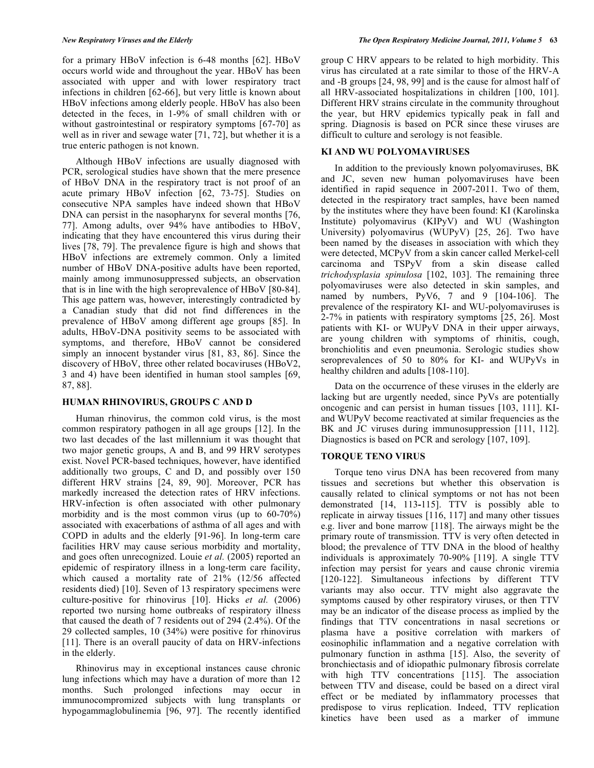for a primary HBoV infection is 6-48 months [62]. HBoV occurs world wide and throughout the year. HBoV has been associated with upper and with lower respiratory tract infections in children [62-66], but very little is known about HBoV infections among elderly people. HBoV has also been detected in the feces, in 1-9% of small children with or without gastrointestinal or respiratory symptoms [67-70] as well as in river and sewage water [71, 72], but whether it is a true enteric pathogen is not known.

 Although HBoV infections are usually diagnosed with PCR, serological studies have shown that the mere presence of HBoV DNA in the respiratory tract is not proof of an acute primary HBoV infection [62, 73-75]. Studies on consecutive NPA samples have indeed shown that HBoV DNA can persist in the nasopharynx for several months [76, 77]. Among adults, over 94% have antibodies to HBoV, indicating that they have encountered this virus during their lives [78, 79]. The prevalence figure is high and shows that HBoV infections are extremely common. Only a limited number of HBoV DNA-positive adults have been reported, mainly among immunosuppressed subjects, an observation that is in line with the high seroprevalence of HBoV [80-84]. This age pattern was, however, interestingly contradicted by a Canadian study that did not find differences in the prevalence of HBoV among different age groups [85]. In adults, HBoV-DNA positivity seems to be associated with symptoms, and therefore, HBoV cannot be considered simply an innocent bystander virus [81, 83, 86]. Since the discovery of HBoV, three other related bocaviruses (HBoV2, 3 and 4) have been identified in human stool samples [69, 87, 88].

#### **HUMAN RHINOVIRUS, GROUPS C AND D**

 Human rhinovirus, the common cold virus, is the most common respiratory pathogen in all age groups [12]. In the two last decades of the last millennium it was thought that two major genetic groups, A and B, and 99 HRV serotypes exist. Novel PCR-based techniques, however, have identified additionally two groups, C and D, and possibly over 150 different HRV strains [24, 89, 90]. Moreover, PCR has markedly increased the detection rates of HRV infections. HRV-infection is often associated with other pulmonary morbidity and is the most common virus (up to 60-70%) associated with exacerbations of asthma of all ages and with COPD in adults and the elderly [91-96]. In long-term care facilities HRV may cause serious morbidity and mortality, and goes often unrecognized. Louie *et al.* (2005) reported an epidemic of respiratory illness in a long-term care facility, which caused a mortality rate of 21% (12/56 affected residents died) [10]. Seven of 13 respiratory specimens were culture-positive for rhinovirus [10]. Hicks *et al.* (2006) reported two nursing home outbreaks of respiratory illness that caused the death of 7 residents out of 294 (2.4%). Of the 29 collected samples, 10 (34%) were positive for rhinovirus [11]. There is an overall paucity of data on HRV-infections in the elderly.

 Rhinovirus may in exceptional instances cause chronic lung infections which may have a duration of more than 12 months. Such prolonged infections may occur in immunocompromized subjects with lung transplants or hypogammaglobulinemia [96, 97]. The recently identified

group C HRV appears to be related to high morbidity. This virus has circulated at a rate similar to those of the HRV-A and -B groups [24, 98, 99] and is the cause for almost half of all HRV-associated hospitalizations in children [100, 101]. Different HRV strains circulate in the community throughout the year, but HRV epidemics typically peak in fall and spring. Diagnosis is based on PCR since these viruses are difficult to culture and serology is not feasible.

#### **KI AND WU POLYOMAVIRUSES**

 In addition to the previously known polyomaviruses, BK and JC, seven new human polyomaviruses have been identified in rapid sequence in 2007-2011. Two of them, detected in the respiratory tract samples, have been named by the institutes where they have been found: KI (Karolinska Institute) polyomavirus (KIPyV) and WU (Washington University) polyomavirus (WUPyV) [25, 26]. Two have been named by the diseases in association with which they were detected, MCPyV from a skin cancer called Merkel-cell carcinoma and TSPyV from a skin disease called *trichodysplasia spinulosa* [102, 103]. The remaining three polyomaviruses were also detected in skin samples, and named by numbers, PyV6, 7 and 9 [104-106]. The prevalence of the respiratory KI- and WU-polyomaviruses is 2-7% in patients with respiratory symptoms [25, 26]. Most patients with KI- or WUPyV DNA in their upper airways, are young children with symptoms of rhinitis, cough, bronchiolitis and even pneumonia. Serologic studies show seroprevalences of 50 to 80% for KI- and WUPyVs in healthy children and adults [108-110].

 Data on the occurrence of these viruses in the elderly are lacking but are urgently needed, since PyVs are potentially oncogenic and can persist in human tissues [103, 111]. KIand WUPyV become reactivated at similar frequencies as the BK and JC viruses during immunosuppression [111, 112]. Diagnostics is based on PCR and serology [107, 109].

# **TORQUE TENO VIRUS**

 Torque teno virus DNA has been recovered from many tissues and secretions but whether this observation is causally related to clinical symptoms or not has not been demonstrated [14, 113**-**115]. TTV is possibly able to replicate in airway tissues [116, 117] and many other tissues e.g. liver and bone marrow [118]. The airways might be the primary route of transmission. TTV is very often detected in blood; the prevalence of TTV DNA in the blood of healthy individuals is approximately 70-90% [119]. A single TTV infection may persist for years and cause chronic viremia [120-122]. Simultaneous infections by different TTV variants may also occur. TTV might also aggravate the symptoms caused by other respiratory viruses, or then TTV may be an indicator of the disease process as implied by the findings that TTV concentrations in nasal secretions or plasma have a positive correlation with markers of eosinophilic inflammation and a negative correlation with pulmonary function in asthma [15]. Also, the severity of bronchiectasis and of idiopathic pulmonary fibrosis correlate with high TTV concentrations [115]. The association between TTV and disease, could be based on a direct viral effect or be mediated by inflammatory processes that predispose to virus replication. Indeed, TTV replication kinetics have been used as a marker of immune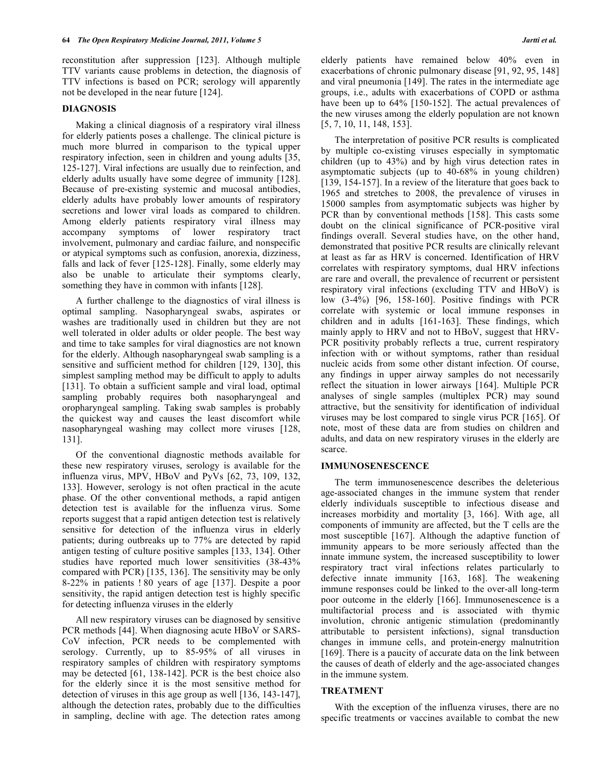reconstitution after suppression [123]. Although multiple TTV variants cause problems in detection, the diagnosis of TTV infections is based on PCR; serology will apparently not be developed in the near future [124].

#### **DIAGNOSIS**

 Making a clinical diagnosis of a respiratory viral illness for elderly patients poses a challenge. The clinical picture is much more blurred in comparison to the typical upper respiratory infection, seen in children and young adults [35, 125-127]. Viral infections are usually due to reinfection, and elderly adults usually have some degree of immunity [128]. Because of pre-existing systemic and mucosal antibodies, elderly adults have probably lower amounts of respiratory secretions and lower viral loads as compared to children. Among elderly patients respiratory viral illness may accompany symptoms of lower respiratory tract involvement, pulmonary and cardiac failure, and nonspecific or atypical symptoms such as confusion, anorexia, dizziness, falls and lack of fever [125-128]. Finally, some elderly may also be unable to articulate their symptoms clearly, something they have in common with infants [128].

 A further challenge to the diagnostics of viral illness is optimal sampling. Nasopharyngeal swabs, aspirates or washes are traditionally used in children but they are not well tolerated in older adults or older people. The best way and time to take samples for viral diagnostics are not known for the elderly. Although nasopharyngeal swab sampling is a sensitive and sufficient method for children [129, 130], this simplest sampling method may be difficult to apply to adults [131]. To obtain a sufficient sample and viral load, optimal sampling probably requires both nasopharyngeal and oropharyngeal sampling. Taking swab samples is probably the quickest way and causes the least discomfort while nasopharyngeal washing may collect more viruses [128, 131].

 Of the conventional diagnostic methods available for these new respiratory viruses, serology is available for the influenza virus, MPV, HBoV and PyVs [62, 73, 109, 132, 133]. However, serology is not often practical in the acute phase. Of the other conventional methods, a rapid antigen detection test is available for the influenza virus. Some reports suggest that a rapid antigen detection test is relatively sensitive for detection of the influenza virus in elderly patients; during outbreaks up to 77% are detected by rapid antigen testing of culture positive samples [133, 134]. Other studies have reported much lower sensitivities (38-43% compared with PCR) [135, 136]. The sensitivity may be only 8-22% in patients ! 80 years of age [137]. Despite a poor sensitivity, the rapid antigen detection test is highly specific for detecting influenza viruses in the elderly

 All new respiratory viruses can be diagnosed by sensitive PCR methods [44]. When diagnosing acute HBoV or SARS-CoV infection, PCR needs to be complemented with serology. Currently, up to 85-95% of all viruses in respiratory samples of children with respiratory symptoms may be detected [61, 138-142]. PCR is the best choice also for the elderly since it is the most sensitive method for detection of viruses in this age group as well [136, 143-147], although the detection rates, probably due to the difficulties in sampling, decline with age. The detection rates among

elderly patients have remained below 40% even in exacerbations of chronic pulmonary disease [91, 92, 95, 148] and viral pneumonia [149]. The rates in the intermediate age groups, i.e., adults with exacerbations of COPD or asthma have been up to 64% [150-152]. The actual prevalences of the new viruses among the elderly population are not known [5, 7, 10, 11, 148, 153].

 The interpretation of positive PCR results is complicated by multiple co-existing viruses especially in symptomatic children (up to 43%) and by high virus detection rates in asymptomatic subjects (up to 40-68% in young children) [139, 154-157]. In a review of the literature that goes back to 1965 and stretches to 2008, the prevalence of viruses in 15000 samples from asymptomatic subjects was higher by PCR than by conventional methods [158]. This casts some doubt on the clinical significance of PCR-positive viral findings overall. Several studies have, on the other hand, demonstrated that positive PCR results are clinically relevant at least as far as HRV is concerned. Identification of HRV correlates with respiratory symptoms, dual HRV infections are rare and overall, the prevalence of recurrent or persistent respiratory viral infections (excluding TTV and HBoV) is low (3-4%) [96, 158-160]. Positive findings with PCR correlate with systemic or local immune responses in children and in adults [161-163]. These findings, which mainly apply to HRV and not to HBoV, suggest that HRV-PCR positivity probably reflects a true, current respiratory infection with or without symptoms, rather than residual nucleic acids from some other distant infection. Of course, any findings in upper airway samples do not necessarily reflect the situation in lower airways [164]. Multiple PCR analyses of single samples (multiplex PCR) may sound attractive, but the sensitivity for identification of individual viruses may be lost compared to single virus PCR [165]. Of note, most of these data are from studies on children and adults, and data on new respiratory viruses in the elderly are scarce.

#### **IMMUNOSENESCENCE**

 The term immunosenescence describes the deleterious age-associated changes in the immune system that render elderly individuals susceptible to infectious disease and increases morbidity and mortality [3, 166]. With age, all components of immunity are affected, but the T cells are the most susceptible [167]. Although the adaptive function of immunity appears to be more seriously affected than the innate immune system, the increased susceptibility to lower respiratory tract viral infections relates particularly to defective innate immunity [163, 168]. The weakening immune responses could be linked to the over-all long-term poor outcome in the elderly [166]. Immunosenescence is a multifactorial process and is associated with thymic involution, chronic antigenic stimulation (predominantly attributable to persistent infections), signal transduction changes in immune cells, and protein-energy malnutrition [169]. There is a paucity of accurate data on the link between the causes of death of elderly and the age-associated changes in the immune system.

#### **TREATMENT**

 With the exception of the influenza viruses, there are no specific treatments or vaccines available to combat the new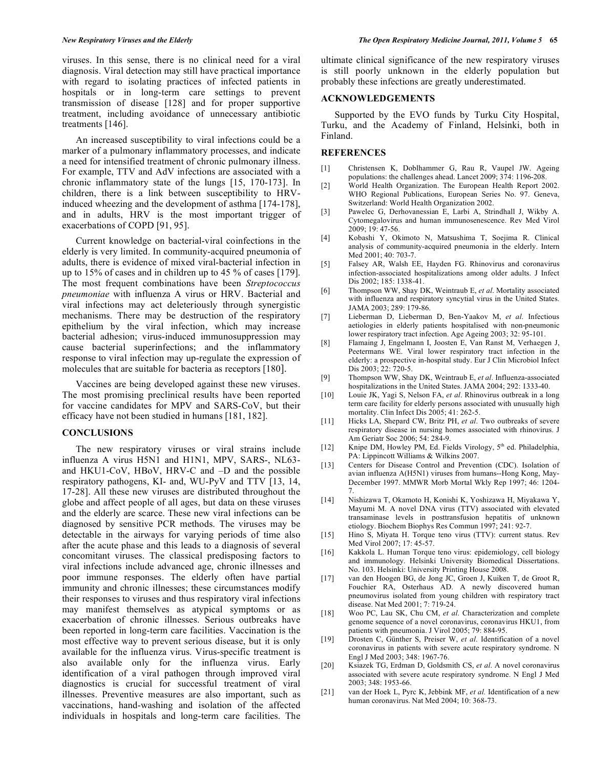viruses. In this sense, there is no clinical need for a viral diagnosis. Viral detection may still have practical importance with regard to isolating practices of infected patients in hospitals or in long-term care settings to prevent transmission of disease [128] and for proper supportive treatment, including avoidance of unnecessary antibiotic treatments [146].

 An increased susceptibility to viral infections could be a marker of a pulmonary inflammatory processes, and indicate a need for intensified treatment of chronic pulmonary illness. For example, TTV and AdV infections are associated with a chronic inflammatory state of the lungs [15, 170-173]. In children, there is a link between susceptibility to HRVinduced wheezing and the development of asthma [174-178], and in adults, HRV is the most important trigger of exacerbations of COPD [91, 95].

 Current knowledge on bacterial-viral coinfections in the elderly is very limited. In community-acquired pneumonia of adults, there is evidence of mixed viral-bacterial infection in up to 15% of cases and in children up to 45 % of cases [179]. The most frequent combinations have been *Streptococcus pneumoniae* with influenza A virus or HRV. Bacterial and viral infections may act deleteriously through synergistic mechanisms. There may be destruction of the respiratory epithelium by the viral infection, which may increase bacterial adhesion; virus-induced immunosuppression may cause bacterial superinfections; and the inflammatory response to viral infection may up-regulate the expression of molecules that are suitable for bacteria as receptors [180].

 Vaccines are being developed against these new viruses. The most promising preclinical results have been reported for vaccine candidates for MPV and SARS-CoV, but their efficacy have not been studied in humans [181, 182].

# **CONCLUSIONS**

 The new respiratory viruses or viral strains include influenza A virus H5N1 and H1N1, MPV, SARS-, NL63 and HKU1-CoV, HBoV, HRV-C and –D and the possible respiratory pathogens, KI- and, WU-PyV and TTV [13, 14, 17-28]. All these new viruses are distributed throughout the globe and affect people of all ages, but data on these viruses and the elderly are scarce. These new viral infections can be diagnosed by sensitive PCR methods. The viruses may be detectable in the airways for varying periods of time also after the acute phase and this leads to a diagnosis of several concomitant viruses. The classical predisposing factors to viral infections include advanced age, chronic illnesses and poor immune responses. The elderly often have partial immunity and chronic illnesses; these circumstances modify their responses to viruses and thus respiratory viral infections may manifest themselves as atypical symptoms or as exacerbation of chronic illnesses. Serious outbreaks have been reported in long-term care facilities. Vaccination is the most effective way to prevent serious disease, but it is only available for the influenza virus. Virus-specific treatment is also available only for the influenza virus. Early identification of a viral pathogen through improved viral diagnostics is crucial for successful treatment of viral illnesses. Preventive measures are also important, such as vaccinations, hand-washing and isolation of the affected individuals in hospitals and long-term care facilities. The

ultimate clinical significance of the new respiratory viruses is still poorly unknown in the elderly population but probably these infections are greatly underestimated.

#### **ACKNOWLEDGEMENTS**

 Supported by the EVO funds by Turku City Hospital, Turku, and the Academy of Finland, Helsinki, both in Finland.

### **REFERENCES**

- [1] Christensen K, Doblhammer G, Rau R, Vaupel JW. Ageing populations: the challenges ahead. Lancet 2009; 374: 1196-208.
- [2] World Health Organization. The European Health Report 2002. WHO Regional Publications, European Series No. 97. Geneva, Switzerland: World Health Organization 2002.
- [3] Pawelec G, Derhovanessian E, Larbi A, Strindhall J, Wikby A. Cytomegalovirus and human immunosenescence. Rev Med Virol 2009; 19: 47-56.
- [4] Kobashi Y, Okimoto N, Matsushima T, Soejima R. Clinical analysis of community-acquired pneumonia in the elderly. Intern Med 2001; 40: 703-7.
- [5] Falsey AR, Walsh EE, Hayden FG. Rhinovirus and coronavirus infection-associated hospitalizations among older adults. J Infect Dis 2002; 185: 1338-41.
- [6] Thompson WW, Shay DK, Weintraub E, *et al*. Mortality associated with influenza and respiratory syncytial virus in the United States. JAMA 2003; 289: 179-86.
- [7] Lieberman D, Lieberman D, Ben-Yaakov M, *et al*. Infectious aetiologies in elderly patients hospitalised with non-pneumonic lower respiratory tract infection. Age Ageing 2003; 32: 95-101.
- [8] Flamaing J, Engelmann I, Joosten E, Van Ranst M, Verhaegen J, Peetermans WE. Viral lower respiratory tract infection in the elderly: a prospective in-hospital study. Eur J Clin Microbiol Infect Dis 2003; 22: 720-5.
- [9] Thompson WW, Shay DK, Weintraub E, *et al*. Influenza-associated hospitalizations in the United States. JAMA 2004; 292: 1333-40.
- [10] Louie JK, Yagi S, Nelson FA, *et al*. Rhinovirus outbreak in a long term care facility for elderly persons associated with unusually high mortality. Clin Infect Dis 2005; 41: 262-5.
- [11] Hicks LA, Shepard CW, Britz PH, *et al*. Two outbreaks of severe respiratory disease in nursing homes associated with rhinovirus. J Am Geriatr Soc 2006; 54: 284-9.
- [12] Knipe DM, Howley PM, Ed. Fields Virology, 5<sup>th</sup> ed. Philadelphia, PA: Lippincott Williams & Wilkins 2007.
- [13] Centers for Disease Control and Prevention (CDC). Isolation of avian influenza A(H5N1) viruses from humans--Hong Kong, May-December 1997. MMWR Morb Mortal Wkly Rep 1997; 46: 1204- 7.
- [14] Nishizawa T, Okamoto H, Konishi K, Yoshizawa H, Miyakawa Y, Mayumi M. A novel DNA virus (TTV) associated with elevated transaminase levels in posttransfusion hepatitis of unknown etiology. Biochem Biophys Res Commun 1997; 241: 92-7.
- [15] Hino S, Miyata H. Torque teno virus (TTV): current status. Rev Med Virol 2007; 17: 45-57.
- [16] Kakkola L. Human Torque teno virus: epidemiology, cell biology and immunology. Helsinki University Biomedical Dissertations. No. 103. Helsinki: University Printing House 2008.
- [17] van den Hoogen BG, de Jong JC, Groen J, Kuiken T, de Groot R, Fouchier RA, Osterhaus AD. A newly discovered human pneumovirus isolated from young children with respiratory tract disease. Nat Med 2001; 7: 719-24.
- [18] Woo PC, Lau SK, Chu CM, *et al*. Characterization and complete genome sequence of a novel coronavirus, coronavirus HKU1, from patients with pneumonia. J Virol 2005; 79: 884-95.
- [19] Drosten C, Günther S, Preiser W, *et al*. Identification of a novel coronavirus in patients with severe acute respiratory syndrome. N Engl J Med 2003; 348: 1967-76.
- [20] Ksiazek TG, Erdman D, Goldsmith CS, *et al*. A novel coronavirus associated with severe acute respiratory syndrome. N Engl J Med 2003; 348: 1953-66.
- [21] van der Hoek L, Pyrc K, Jebbink MF, *et al.* Identification of a new human coronavirus. Nat Med 2004; 10: 368-73.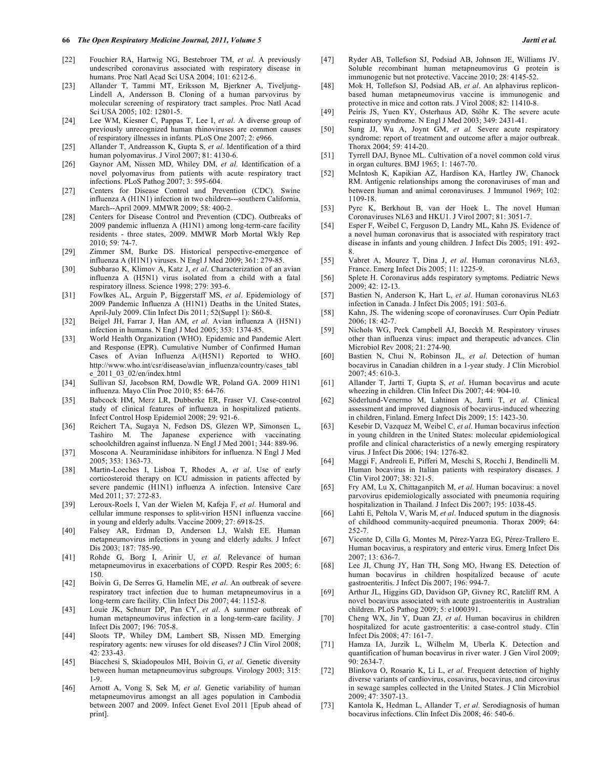- [22] Fouchier RA, Hartwig NG, Bestebroer TM, *et al*. A previously undescribed coronavirus associated with respiratory disease in humans. Proc Natl Acad Sci USA 2004; 101: 6212-6.
- [23] Allander T, Tammi MT, Eriksson M, Bjerkner A, Tiveljung-Lindell A, Andersson B. Cloning of a human parvovirus by molecular screening of respiratory tract samples. Proc Natl Acad Sci USA 2005; 102: 12801-5.
- [24] Lee WM, Kiesner C, Pappas T, Lee I, *et al*. A diverse group of previously unrecognized human rhinoviruses are common causes of respiratory illnesses in infants. PLoS One 2007; 2: e966.
- [25] Allander T, Andreasson K, Gupta S, *et al*. Identification of a third human polyomavirus. J Virol 2007; 81: 4130-6.
- [26] Gaynor AM, Nissen MD, Whiley DM, *et al*. Identification of a novel polyomavirus from patients with acute respiratory tract infections. PLoS Pathog 2007; 3: 595-604.
- [27] Centers for Disease Control and Prevention (CDC). Swine influenza A (H1N1) infection in two children---southern California, March--April 2009. MMWR 2009; 58: 400-2.
- [28] Centers for Disease Control and Prevention (CDC). Outbreaks of 2009 pandemic influenza A (H1N1) among long-term-care facility residents - three states, 2009. MMWR Morb Mortal Wkly Rep 2010; 59: 74-7.
- [29] Zimmer SM, Burke DS. Historical perspective-emergence of influenza A (H1N1) viruses. N Engl J Med 2009; 361: 279-85.
- [30] Subbarao K, Klimov A, Katz J, *et al*. Characterization of an avian influenza A (H5N1) virus isolated from a child with a fatal respiratory illness. Science 1998; 279: 393-6.
- [31] Fowlkes AL, Arguin P, Biggerstaff MS, *et al*. Epidemiology of 2009 Pandemic Influenza A (H1N1) Deaths in the United States, April-July 2009. Clin Infect Dis 2011; 52(Suppl 1): S60-8.
- [32] Beigel JH, Farrar J, Han AM, *et al*. Avian influenza A (H5N1) infection in humans. N Engl J Med 2005; 353: 1374-85.
- [33] World Health Organization (WHO). Epidemic and Pandemic Alert and Response (EPR). Cumulative Number of Confirmed Human Cases of Avian Influenza A/(H5N1) Reported to WHO. http://www.who.int/csr/disease/avian\_influenza/country/cases\_tabl e\_2011\_03\_02/en/index.html
- [34] Sullivan SJ, Jacobson RM, Dowdle WR, Poland GA. 2009 H1N1 influenza. Mayo Clin Proc 2010; 85: 64-76.
- [35] Babcock HM, Merz LR, Dubberke ER, Fraser VJ. Case-control study of clinical features of influenza in hospitalized patients. Infect Control Hosp Epidemiol 2008; 29: 921-6.
- [36] Reichert TA, Sugaya N, Fedson DS, Glezen WP, Simonsen L, Tashiro M. The Japanese experience with vaccinating schoolchildren against influenza. N Engl J Med 2001; 344: 889-96.
- [37] Moscona A. Neuraminidase inhibitors for influenza. N Engl J Med 2005; 353: 1363-73.
- [38] Martin-Loeches I, Lisboa T, Rhodes A, *et al*. Use of early corticosteroid therapy on ICU admission in patients affected by severe pandemic (H1N1) influenza A infection. Intensive Care Med 2011; 37: 272-83.
- [39] Leroux-Roels I, Van der Wielen M, Kafeja F, *et al*. Humoral and cellular immune responses to split-virion H5N1 influenza vaccine in young and elderly adults. Vaccine 2009; 27: 6918-25.
- [40] Falsey AR, Erdman D, Anderson LJ, Walsh EE. Human metapneumovirus infections in young and elderly adults. J Infect Dis 2003; 187: 785-90.
- [41] Rohde G, Borg I, Arinir U, *et al*. Relevance of human metapneumovirus in exacerbations of COPD. Respir Res 2005; 6: 150.
- [42] Boivin G, De Serres G, Hamelin ME, *et al*. An outbreak of severe respiratory tract infection due to human metapneumovirus in a long-term care facility. Clin Infect Dis 2007; 44: 1152-8.
- [43] Louie JK, Schnurr DP, Pan CY, *et al*. A summer outbreak of human metapneumovirus infection in a long-term-care facility. J Infect Dis 2007; 196: 705-8.
- [44] Sloots TP, Whiley DM, Lambert SB, Nissen MD. Emerging respiratory agents: new viruses for old diseases? J Clin Virol 2008; 42: 233-43.
- [45] Biacchesi S, Skiadopoulos MH, Boivin G, *et al*. Genetic diversity between human metapneumovirus subgroups. Virology 2003; 315: 1-9.
- [46] Arnott A, Vong S, Sek M, *et al*. Genetic variability of human metapneumovirus amongst an all ages population in Cambodia between 2007 and 2009. Infect Genet Evol 2011 [Epub ahead of print].
- [47] Ryder AB, Tollefson SJ, Podsiad AB, Johnson JE, Williams JV. Soluble recombinant human metapneumovirus G protein is immunogenic but not protective. Vaccine 2010; 28: 4145-52.
- [48] Mok H, Tollefson SJ, Podsiad AB, *et al*. An alphavirus repliconbased human metapneumovirus vaccine is immunogenic and protective in mice and cotton rats. J Virol 2008; 82: 11410-8.
- [49] Peiris JS, Yuen KY, Osterhaus AD, Stöhr K. The severe acute respiratory syndrome. N Engl J Med 2003; 349: 2431-41.
- [50] Sung JJ, Wu A, Joynt GM, *et al.* Severe acute respiratory syndrome: report of treatment and outcome after a major outbreak. Thorax 2004; 59: 414-20.
- [51] Tyrrell DAJ, Bynoe ML. Cultivation of a novel common cold virus in organ cultures. BMJ 1965; 1: 1467-70.
- [52] McIntosh K, Kapikian AZ, Hardison KA, Hartley JW, Chanock RM. Antigenic relationships among the coronaviruses of man and between human and animal coronaviruses. J Immunol 1969; 102: 1109-18.
- [53] Pyrc K, Berkhout B, van der Hoek L. The novel Human Coronaviruses NL63 and HKU1. J Virol 2007; 81: 3051-7.
- [54] Esper F, Weibel C, Ferguson D, Landry ML, Kahn JS. Evidence of a novel human coronavirus that is associated with respiratory tract disease in infants and young children. J Infect Dis 2005; 191: 492- 8.
- [55] Vabret A, Mourez T, Dina J, *et al*. Human coronavirus NL63, France. Emerg Infect Dis 2005; 11: 1225-9.
- [56] Splete H. Coronavirus adds respiratory symptoms. Pediatric News 2009; 42: 12-13.
- [57] Bastien N, Anderson K, Hart L, *et al*. Human coronavirus NL63 infection in Canada. J Infect Dis 2005; 191: 503-6.
- [58] Kahn, JS. The widening scope of coronaviruses. Curr Opin Pediatr 2006; 18: 42-7.
- [59] Nichols WG, Peck Campbell AJ, Boeckh M. Respiratory viruses other than influenza virus: impact and therapeutic advances. Clin Microbiol Rev 2008; 21: 274-90.
- [60] Bastien N, Chui N, Robinson JL, *et al*. Detection of human bocavirus in Canadian children in a 1-year study. J Clin Microbiol 2007; 45: 610-3.
- [61] Allander T, Jartti T, Gupta S, *et al*. Human bocavirus and acute wheezing in children. Clin Infect Dis 2007; 44: 904-10.
- [62] Söderlund-Venermo M, Lahtinen A, Jartti T, *et al*. Clinical assessment and improved diagnosis of bocavirus-induced wheezing in children, Finland. Emerg Infect Dis 2009; 15: 1423-30.
- [63] Kesebir D, Vazquez M, Weibel C, *et al*. Human bocavirus infection in young children in the United States: molecular epidemiological profile and clinical characteristics of a newly emerging respiratory virus. J Infect Dis 2006; 194: 1276-82.
- [64] Maggi F, Andreoli E, Pifferi M, Meschi S, Rocchi J, Bendinelli M. Human bocavirus in Italian patients with respiratory diseases. J Clin Virol 2007; 38: 321-5.
- [65] Fry AM, Lu X, Chittaganpitch M, *et al*. Human bocavirus: a novel parvovirus epidemiologically associated with pneumonia requiring hospitalization in Thailand. J Infect Dis 2007; 195: 1038-45.
- [66] Lahti E, Peltola V, Waris M, *et al*. Induced sputum in the diagnosis of childhood community-acquired pneumonia. Thorax 2009; 64: 252-7.
- [67] Vicente D, Cilla G, Montes M, Pérez-Yarza EG, Pérez-Trallero E. Human bocavirus, a respiratory and enteric virus. Emerg Infect Dis 2007; 13: 636-7.
- [68] Lee JI, Chung JY, Han TH, Song MO, Hwang ES. Detection of human bocavirus in children hospitalized because of acute gastroenteritis. J Infect Dis 2007; 196: 994-7.
- [69] Arthur JL, Higgins GD, Davidson GP, Givney RC, Ratcliff RM. A novel bocavirus associated with acute gastroenteritis in Australian children. PLoS Pathog 2009; 5: e1000391.
- [70] Cheng WX, Jin Y, Duan ZJ, *et al*. Human bocavirus in children hospitalized for acute gastroenteritis: a case-control study. Clin Infect Dis 2008; 47: 161-7.
- [71] Hamza IA, Jurzik L, Wilhelm M, Uberla K. Detection and quantification of human bocavirus in river water. J Gen Virol 2009; 90: 2634-7.
- [72] Blinkova O, Rosario K, Li L, *et al*. Frequent detection of highly diverse variants of cardiovirus, cosavirus, bocavirus, and circovirus in sewage samples collected in the United States. J Clin Microbiol 2009; 47: 3507-13.
- [73] Kantola K, Hedman L, Allander T, *et al*. Serodiagnosis of human bocavirus infections. Clin Infect Dis 2008; 46: 540-6.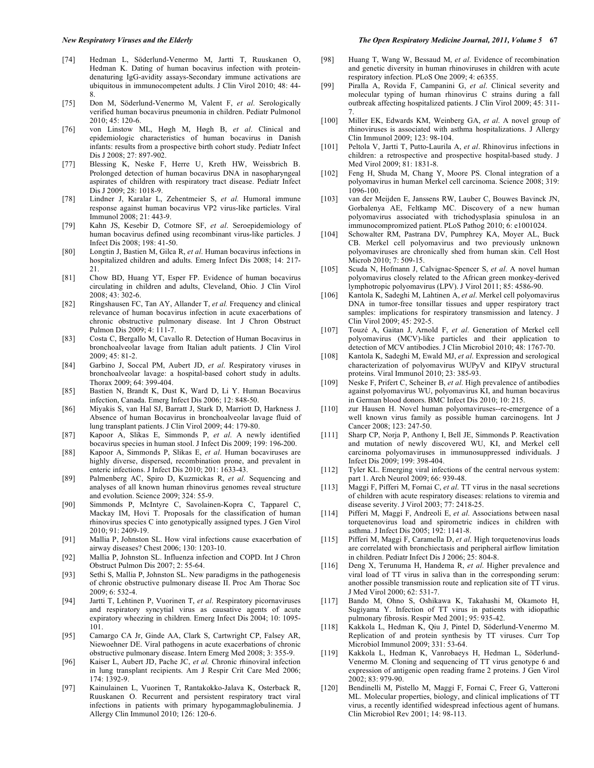- [74] Hedman L, Söderlund-Venermo M, Jartti T, Ruuskanen O, Hedman K. Dating of human bocavirus infection with proteindenaturing IgG-avidity assays-Secondary immune activations are ubiquitous in immunocompetent adults. J Clin Virol 2010; 48: 44- 8.
- [75] Don M, Söderlund-Venermo M, Valent F, *et al*. Serologically verified human bocavirus pneumonia in children. Pediatr Pulmonol 2010; 45: 120-6.
- [76] von Linstow ML, Høgh M, Høgh B, *et al*. Clinical and epidemiologic characteristics of human bocavirus in Danish infants: results from a prospective birth cohort study. Pediatr Infect Dis J 2008; 27: 897-902.
- [77] Blessing K, Neske F, Herre U, Kreth HW, Weissbrich B. Prolonged detection of human bocavirus DNA in nasopharyngeal aspirates of children with respiratory tract disease. Pediatr Infect Dis J 2009; 28: 1018-9.
- [78] Lindner J, Karalar L, Zehentmeier S, *et al.* Humoral immune response against human bocavirus VP2 virus-like particles. Viral Immunol 2008; 21: 443-9.
- [79] Kahn JS, Kesebir D, Cotmore SF, *et al*. Seroepidemiology of human bocavirus defined using recombinant virus-like particles. J Infect Dis 2008; 198: 41-50.
- [80] Longtin J, Bastien M, Gilca R, *et al*. Human bocavirus infections in hospitalized children and adults. Emerg Infect Dis 2008; 14: 217- 21.
- [81] Chow BD, Huang YT, Esper FP. Evidence of human bocavirus circulating in children and adults, Cleveland, Ohio. J Clin Virol 2008; 43: 302-6.
- [82] Ringshausen FC, Tan AY, Allander T, *et al.* Frequency and clinical relevance of human bocavirus infection in acute exacerbations of chronic obstructive pulmonary disease. Int J Chron Obstruct Pulmon Dis 2009; 4: 111-7.
- [83] Costa C, Bergallo M, Cavallo R. Detection of Human Bocavirus in bronchoalveolar lavage from Italian adult patients. J Clin Virol 2009; 45: 81-2.
- [84] Garbino J, Soccal PM, Aubert JD, *et al*. Respiratory viruses in bronchoalveolar lavage: a hospital-based cohort study in adults. Thorax 2009; 64: 399-404.
- [85] Bastien N, Brandt K, Dust K, Ward D, Li Y. Human Bocavirus infection, Canada. Emerg Infect Dis 2006; 12: 848-50.
- [86] Miyakis S, van Hal SJ, Barratt J, Stark D, Marriott D, Harkness J. Absence of human Bocavirus in bronchoalveolar lavage fluid of lung transplant patients. J Clin Virol 2009; 44: 179-80.
- [87] Kapoor A, Slikas E, Simmonds P, *et al*. A newly identified bocavirus species in human stool. J Infect Dis 2009; 199: 196-200.
- [88] Kapoor A, Simmonds P, Slikas E, *et al*. Human bocaviruses are highly diverse, dispersed, recombination prone, and prevalent in enteric infections. J Infect Dis 2010; 201: 1633-43.
- [89] Palmenberg AC, Spiro D, Kuzmickas R, *et al*. Sequencing and analyses of all known human rhinovirus genomes reveal structure and evolution. Science 2009; 324: 55-9.
- [90] Simmonds P, McIntyre C, Savolainen-Kopra C, Tapparel C, Mackay IM, Hovi T. Proposals for the classification of human rhinovirus species C into genotypically assigned types. J Gen Virol 2010; 91: 2409-19.
- [91] Mallia P, Johnston SL. How viral infections cause exacerbation of airway diseases? Chest 2006; 130: 1203-10.
- [92] Mallia P, Johnston SL. Influenza infection and COPD. Int J Chron Obstruct Pulmon Dis 2007; 2: 55-64.
- [93] Sethi S, Mallia P, Johnston SL. New paradigms in the pathogenesis of chronic obstructive pulmonary disease II. Proc Am Thorac Soc 2009; 6: 532-4.
- [94] Jartti T, Lehtinen P, Vuorinen T, *et al*. Respiratory picornaviruses and respiratory syncytial virus as causative agents of acute expiratory wheezing in children. Emerg Infect Dis 2004; 10: 1095- 101.
- [95] Camargo CA Jr, Ginde AA, Clark S, Cartwright CP, Falsey AR, Niewoehner DE. Viral pathogens in acute exacerbations of chronic obstructive pulmonary disease. Intern Emerg Med 2008; 3: 355-9.
- [96] Kaiser L, Aubert JD, Pache JC, *et al.* Chronic rhinoviral infection in lung transplant recipients. Am J Respir Crit Care Med 2006; 174: 1392-9.
- [97] Kainulainen L, Vuorinen T, Rantakokko-Jalava K, Osterback R, Ruuskanen O. Recurrent and persistent respiratory tract viral infections in patients with primary hypogammaglobulinemia. J Allergy Clin Immunol 2010; 126: 120-6.
- [98] Huang T, Wang W, Bessaud M, *et al*. Evidence of recombination and genetic diversity in human rhinoviruses in children with acute respiratory infection. PLoS One 2009; 4: e6355.
- [99] Piralla A, Rovida F, Campanini G, *et al*. Clinical severity and molecular typing of human rhinovirus C strains during a fall outbreak affecting hospitalized patients. J Clin Virol 2009; 45: 311- 7.
- [100] Miller EK, Edwards KM, Weinberg GA, *et al*. A novel group of rhinoviruses is associated with asthma hospitalizations. J Allergy Clin Immunol 2009; 123: 98-104.
- [101] Peltola V, Jartti T, Putto-Laurila A, *et al*. Rhinovirus infections in children: a retrospective and prospective hospital-based study. J Med Virol 2009; 81: 1831-8.
- [102] Feng H, Shuda M, Chang Y, Moore PS. Clonal integration of a polyomavirus in human Merkel cell carcinoma. Science 2008; 319: 1096-100.
- [103] van der Meijden E, Janssens RW, Lauber C, Bouwes Bavinck JN, Gorbalenya AE, Feltkamp MC. Discovery of a new human polyomavirus associated with trichodysplasia spinulosa in an immunocompromized patient. PLoS Pathog 2010; 6: e1001024.
- [104] Schowalter RM, Pastrana DV, Pumphrey KA, Moyer AL, Buck CB. Merkel cell polyomavirus and two previously unknown polyomaviruses are chronically shed from human skin. Cell Host Microb 2010; 7: 509-15.
- [105] Scuda N, Hofmann J, Calvignac-Spencer S, *et al*. A novel human polyomavirus closely related to the African green monkey-derived lymphotropic polyomavirus (LPV). J Virol 2011; 85: 4586-90.
- [106] Kantola K, Sadeghi M, Lahtinen A, *et al*. Merkel cell polyomavirus DNA in tumor-free tonsillar tissues and upper respiratory tract samples: implications for respiratory transmission and latency. J Clin Virol 2009; 45: 292-5.
- [107] Touzé A, Gaitan J, Arnold F, *et al*. Generation of Merkel cell polyomavirus (MCV)-like particles and their application to detection of MCV antibodies. J Clin Microbiol 2010; 48: 1767-70.
- [108] Kantola K, Sadeghi M, Ewald MJ, *et al*. Expression and serological characterization of polyomavirus WUPyV and KIPyV structural proteins. Viral Immunol 2010; 23: 385-93.
- [109] Neske F, Prifert C, Scheiner B, *et al*. High prevalence of antibodies against polyomavirus WU, polyomavirus KI, and human bocavirus in German blood donors. BMC Infect Dis 2010; 10: 215.
- [110] zur Hausen H. Novel human polyomaviruses--re-emergence of a well known virus family as possible human carcinogens. Int J Cancer 2008; 123: 247-50.
- [111] Sharp CP, Norja P, Anthony I, Bell JE, Simmonds P. Reactivation and mutation of newly discovered WU, KI, and Merkel cell carcinoma polyomaviruses in immunosuppressed individuals. J Infect Dis 2009; 199: 398-404.
- [112] Tyler KL. Emerging viral infections of the central nervous system: part 1. Arch Neurol 2009; 66: 939-48.
- [113] Maggi F, Pifferi M, Fornai C, *et al*. TT virus in the nasal secretions of children with acute respiratory diseases: relations to viremia and disease severity. J Virol 2003; 77: 2418-25.
- [114] Pifferi M, Maggi F, Andreoli E, *et al*. Associations between nasal torquetenovirus load and spirometric indices in children with asthma. J Infect Dis 2005; 192: 1141-8.
- [115] Pifferi M, Maggi F, Caramella D, *et al*. High torquetenovirus loads are correlated with bronchiectasis and peripheral airflow limitation in children. Pediatr Infect Dis J 2006; 25: 804-8.
- [116] Deng X, Terunuma H, Handema R, *et al*. Higher prevalence and viral load of TT virus in saliva than in the corresponding serum: another possible transmission route and replication site of TT virus. J Med Virol 2000; 62: 531-7.
- [117] Bando M, Ohno S, Oshikawa K, Takahashi M, Okamoto H, Sugiyama Y. Infection of TT virus in patients with idiopathic pulmonary fibrosis. Respir Med 2001; 95: 935-42.
- [118] Kakkola L, Hedman K, Qiu J, Pintel D, Söderlund-Venermo M. Replication of and protein synthesis by TT viruses. Curr Top Microbiol Immunol 2009; 331: 53-64.
- [119] Kakkola L, Hedman K, Vanrobaeys H, Hedman L, Söderlund-Venermo M. Cloning and sequencing of TT virus genotype 6 and expression of antigenic open reading frame 2 proteins. J Gen Virol 2002; 83: 979-90.
- [120] Bendinelli M, Pistello M, Maggi F, Fornai C, Freer G, Vatteroni ML. Molecular properties, biology, and clinical implications of TT virus, a recently identified widespread infectious agent of humans. Clin Microbiol Rev 2001; 14: 98-113.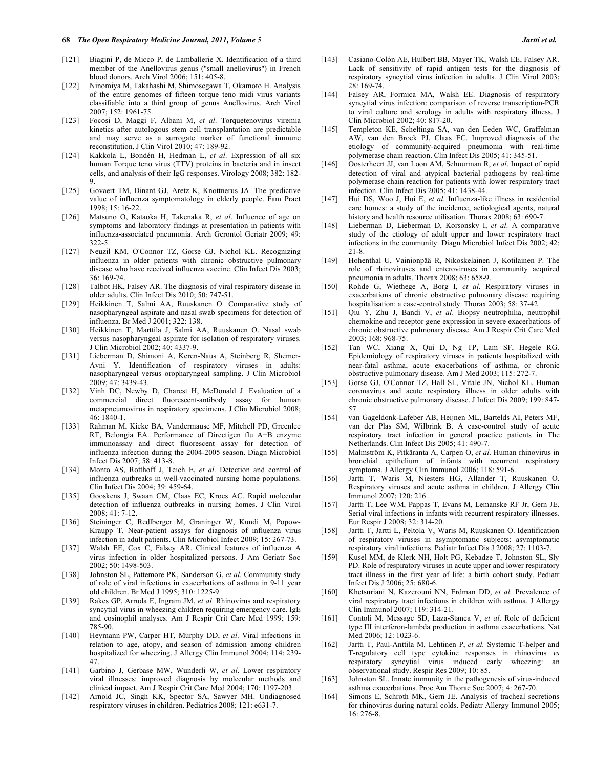- [121] Biagini P, de Micco P, de Lamballerie X. Identification of a third member of the Anellovirus genus ("small anellovirus") in French blood donors. Arch Virol 2006; 151: 405-8.
- [122] Ninomiya M, Takahashi M, Shimosegawa T, Okamoto H. Analysis of the entire genomes of fifteen torque teno midi virus variants classifiable into a third group of genus Anellovirus. Arch Virol 2007; 152: 1961-75.
- [123] Focosi D, Maggi F, Albani M, *et al*. Torquetenovirus viremia kinetics after autologous stem cell transplantation are predictable and may serve as a surrogate marker of functional immune reconstitution. J Clin Virol 2010; 47: 189-92.
- [124] Kakkola L, Bondén H, Hedman L, *et al*. Expression of all six human Torque teno virus (TTV) proteins in bacteria and in insect cells, and analysis of their IgG responses. Virology 2008; 382: 182- 9.
- [125] Govaert TM, Dinant GJ, Aretz K, Knottnerus JA. The predictive value of influenza symptomatology in elderly people. Fam Pract 1998; 15: 16-22.
- [126] Matsuno O, Kataoka H, Takenaka R, *et al*. Influence of age on symptoms and laboratory findings at presentation in patients with influenza-associated pneumonia. Arch Gerontol Geriatr 2009; 49: 322-5.
- [127] Neuzil KM, O'Connor TZ, Gorse GJ, Nichol KL. Recognizing influenza in older patients with chronic obstructive pulmonary disease who have received influenza vaccine. Clin Infect Dis 2003; 36: 169-74.
- [128] Talbot HK, Falsey AR. The diagnosis of viral respiratory disease in older adults. Clin Infect Dis 2010; 50: 747-51.
- [129] Heikkinen T, Salmi AA, Ruuskanen O. Comparative study of nasopharyngeal aspirate and nasal swab specimens for detection of influenza. Br Med J 2001; 322: 138.
- [130] Heikkinen T, Marttila J, Salmi AA, Ruuskanen O. Nasal swab versus nasopharyngeal aspirate for isolation of respiratory viruses. J Clin Microbiol 2002; 40: 4337-9.
- [131] Lieberman D, Shimoni A, Keren-Naus A, Steinberg R, Shemer-Avni Y. Identification of respiratory viruses in adults: nasopharyngeal versus oropharyngeal sampling. J Clin Microbiol 2009; 47: 3439-43.
- [132] Vinh DC, Newby D, Charest H, McDonald J. Evaluation of a commercial direct fluorescent-antibody assay for human metapneumovirus in respiratory specimens. J Clin Microbiol 2008; 46: 1840-1.
- [133] Rahman M, Kieke BA, Vandermause MF, Mitchell PD, Greenlee RT, Belongia EA. Performance of Directigen flu A+B enzyme immunoassay and direct fluorescent assay for detection of influenza infection during the 2004-2005 season. Diagn Microbiol Infect Dis 2007; 58: 413-8.
- [134] Monto AS, Rotthoff J, Teich E, *et al*. Detection and control of influenza outbreaks in well-vaccinated nursing home populations. Clin Infect Dis 2004; 39: 459-64.
- [135] Gooskens J, Swaan CM, Claas EC, Kroes AC. Rapid molecular detection of influenza outbreaks in nursing homes. J Clin Virol 2008; 41: 7-12.
- [136] Steininger C, Redlberger M, Graninger W, Kundi M, Popow-Kraupp T. Near-patient assays for diagnosis of influenza virus infection in adult patients. Clin Microbiol Infect 2009; 15: 267-73.
- [137] Walsh EE, Cox C, Falsey AR. Clinical features of influenza A virus infection in older hospitalized persons. J Am Geriatr Soc 2002; 50: 1498-503.
- [138] Johnston SL, Pattemore PK, Sanderson G, *et al*. Community study of role of viral infections in exacerbations of asthma in 9-11 year old children. Br Med J 1995; 310: 1225-9.
- [139] Rakes GP, Arruda E, Ingram JM, *et al*. Rhinovirus and respiratory syncytial virus in wheezing children requiring emergency care. IgE and eosinophil analyses. Am J Respir Crit Care Med 1999; 159: 785-90.
- [140] Heymann PW, Carper HT, Murphy DD, *et al*. Viral infections in relation to age, atopy, and season of admission among children hospitalized for wheezing. J Allergy Clin Immunol 2004; 114: 239- 47.
- [141] Garbino J, Gerbase MW, Wunderli W, *et al*. Lower respiratory viral illnesses: improved diagnosis by molecular methods and clinical impact. Am J Respir Crit Care Med 2004; 170: 1197-203.
- [142] Arnold JC, Singh KK, Spector SA, Sawyer MH. Undiagnosed respiratory viruses in children. Pediatrics 2008; 121: e631-7.
- [143] Casiano-Colón AE, Hulbert BB, Mayer TK, Walsh EE, Falsey AR. Lack of sensitivity of rapid antigen tests for the diagnosis of respiratory syncytial virus infection in adults. J Clin Virol 2003; 28: 169-74.
- [144] Falsey AR, Formica MA, Walsh EE. Diagnosis of respiratory syncytial virus infection: comparison of reverse transcription-PCR to viral culture and serology in adults with respiratory illness. J Clin Microbiol 2002; 40: 817-20.
- [145] Templeton KE, Scheltinga SA, van den Eeden WC, Graffelman AW, van den Broek PJ, Claas EC. Improved diagnosis of the etiology of community-acquired pneumonia with real-time polymerase chain reaction. Clin Infect Dis 2005; 41: 345-51.
- [146] Oosterheert JJ, van Loon AM, Schuurman R, *et al*. Impact of rapid detection of viral and atypical bacterial pathogens by real-time polymerase chain reaction for patients with lower respiratory tract infection. Clin Infect Dis 2005; 41: 1438-44.
- [147] Hui DS, Woo J, Hui E, *et al*. Influenza-like illness in residential care homes: a study of the incidence, aetiological agents, natural history and health resource utilisation. Thorax 2008; 63: 690-7.
- [148] Lieberman D, Lieberman D, Korsonsky I, *et al*. A comparative study of the etiology of adult upper and lower respiratory tract infections in the community. Diagn Microbiol Infect Dis 2002; 42: 21-8.
- [149] Hohenthal U, Vainionpää R, Nikoskelainen J, Kotilainen P. The role of rhinoviruses and enteroviruses in community acquired pneumonia in adults. Thorax 2008; 63: 658-9.
- [150] Rohde G, Wiethege A, Borg I, *et al*. Respiratory viruses in exacerbations of chronic obstructive pulmonary disease requiring hospitalisation: a case-control study. Thorax 2003; 58: 37-42.
- [151] Qiu Y, Zhu J, Bandi V, *et al*. Biopsy neutrophilia, neutrophil chemokine and receptor gene expression in severe exacerbations of chronic obstructive pulmonary disease. Am J Respir Crit Care Med 2003; 168: 968-75.
- [152] Tan WC, Xiang X, Qui D, Ng TP, Lam SF, Hegele RG. Epidemiology of respiratory viruses in patients hospitalized with near-fatal asthma, acute exacerbations of asthma, or chronic obstructive pulmonary disease. Am J Med 2003; 115: 272-7.
- [153] Gorse GJ, O'Connor TZ, Hall SL, Vitale JN, Nichol KL. Human coronavirus and acute respiratory illness in older adults with chronic obstructive pulmonary disease. J Infect Dis 2009; 199: 847- 57.
- [154] van Gageldonk-Lafeber AB, Heijnen ML, Bartelds AI, Peters MF, van der Plas SM, Wilbrink B. A case-control study of acute respiratory tract infection in general practice patients in The Netherlands. Clin Infect Dis 2005; 41: 490-7.
- [155] Malmström K, Pitkäranta A, Carpen O, *et al*. Human rhinovirus in bronchial epithelium of infants with recurrent respiratory symptoms. J Allergy Clin Immunol 2006; 118: 591-6.
- [156] Jartti T, Waris M, Niesters HG, Allander T, Ruuskanen O. Respiratory viruses and acute asthma in children. J Allergy Clin Immunol 2007; 120: 216.
- [157] Jartti T, Lee WM, Pappas T, Evans M, Lemanske RF Jr, Gern JE. Serial viral infections in infants with recurrent respiratory illnesses. Eur Respir J 2008; 32: 314-20.
- [158] Jartti T, Jartti L, Peltola V, Waris M, Ruuskanen O. Identification of respiratory viruses in asymptomatic subjects: asymptomatic respiratory viral infections. Pediatr Infect Dis J 2008; 27: 1103-7.
- [159] Kusel MM, de Klerk NH, Holt PG, Kebadze T, Johnston SL, Sly PD. Role of respiratory viruses in acute upper and lower respiratory tract illness in the first year of life: a birth cohort study. Pediatr Infect Dis J 2006; 25: 680-6.
- [160] Khetsuriani N, Kazerouni NN, Erdman DD, *et al.* Prevalence of viral respiratory tract infections in children with asthma. J Allergy Clin Immunol 2007; 119: 314-21.
- [161] Contoli M, Message SD, Laza-Stanca V, *et al*. Role of deficient type III interferon-lambda production in asthma exacerbations. Nat Med 2006; 12: 1023-6.
- [162] Jartti T, Paul-Anttila M, Lehtinen P, *et al.* Systemic T-helper and T-regulatory cell type cytokine responses in rhinovirus *vs* respiratory syncytial virus induced early wheezing: an observational study. Respir Res 2009; 10: 85.
- [163] Johnston SL. Innate immunity in the pathogenesis of virus-induced asthma exacerbations. Proc Am Thorac Soc 2007; 4: 267-70.
- [164] Simons E, Schroth MK, Gern JE. Analysis of tracheal secretions for rhinovirus during natural colds. Pediatr Allergy Immunol 2005; 16: 276-8.